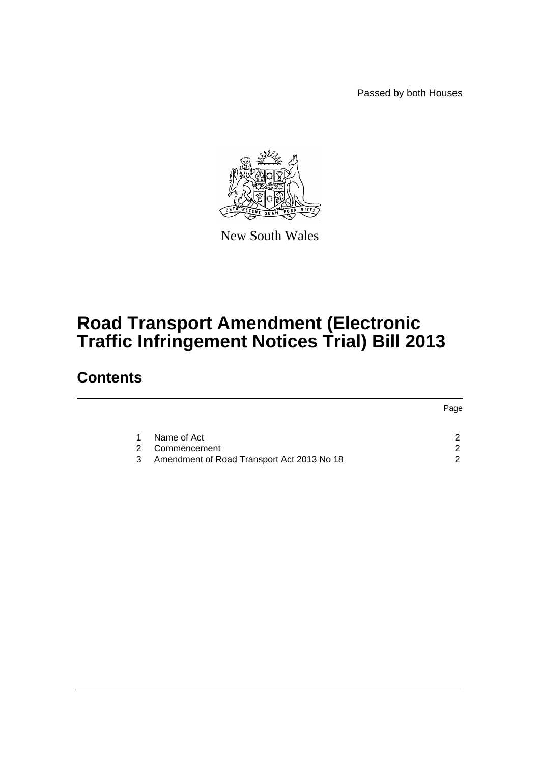Passed by both Houses



New South Wales

## **Road Transport Amendment (Electronic Traffic Infringement Notices Trial) Bill 2013**

### **Contents**

|   |                                            | Page |
|---|--------------------------------------------|------|
|   |                                            |      |
| 1 | Name of Act                                |      |
| 2 | Commencement                               | ◠    |
| 3 | Amendment of Road Transport Act 2013 No 18 |      |
|   |                                            |      |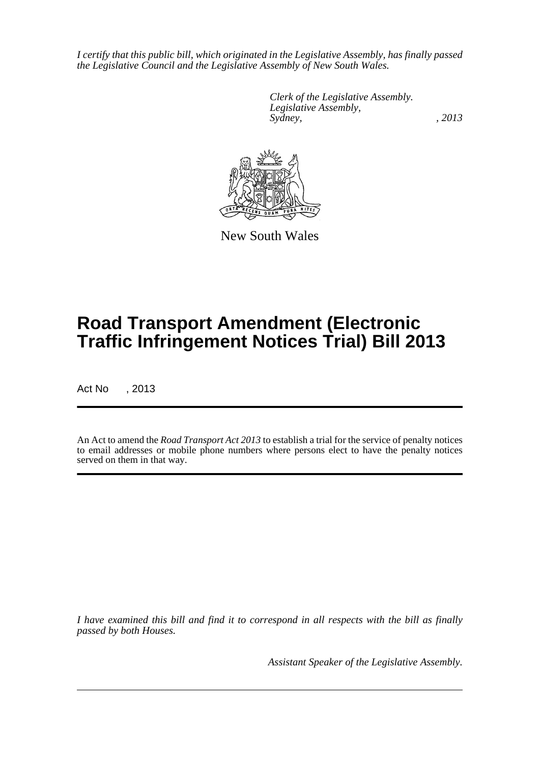*I certify that this public bill, which originated in the Legislative Assembly, has finally passed the Legislative Council and the Legislative Assembly of New South Wales.*

> *Clerk of the Legislative Assembly. Legislative Assembly, Sydney, , 2013*



New South Wales

# **Road Transport Amendment (Electronic Traffic Infringement Notices Trial) Bill 2013**

Act No , 2013

An Act to amend the *Road Transport Act 2013* to establish a trial for the service of penalty notices to email addresses or mobile phone numbers where persons elect to have the penalty notices served on them in that way.

*I have examined this bill and find it to correspond in all respects with the bill as finally passed by both Houses.*

*Assistant Speaker of the Legislative Assembly.*